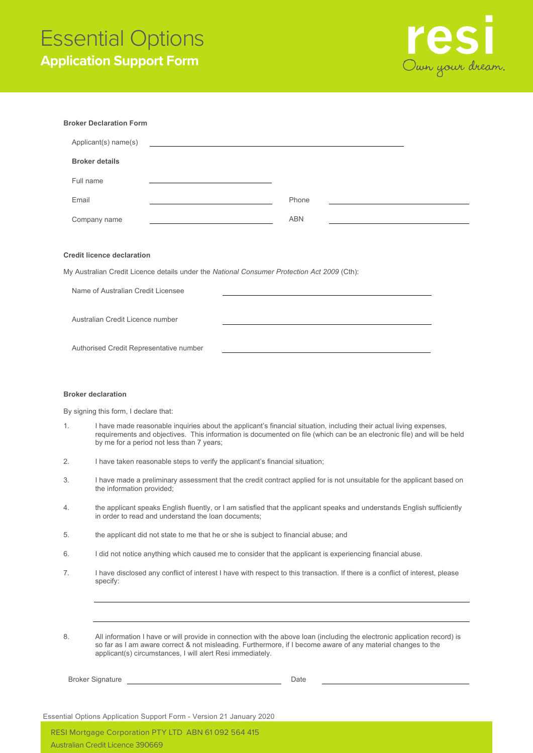# Essential Options **Application Support Form**



| <b>Broker Declaration Form</b>                                                              |       |  |
|---------------------------------------------------------------------------------------------|-------|--|
| Applicant(s) name(s)                                                                        |       |  |
| <b>Broker details</b>                                                                       |       |  |
| Full name                                                                                   |       |  |
| Email                                                                                       | Phone |  |
| Company name                                                                                | ABN   |  |
|                                                                                             |       |  |
| <b>Credit licence declaration</b>                                                           |       |  |
| My Australian Credit Licence details under the National Consumer Protection Act 2009 (Cth): |       |  |
| Name of Australian Credit Licensee                                                          |       |  |
| Australian Credit Licence number                                                            |       |  |

### **Broker declaration**

By signing this form, I declare that:

Authorised Credit Representative number

- 1. I have made reasonable inquiries about the applicant's financial situation, including their actual living expenses, requirements and objectives. This information is documented on file (which can be an electronic file) and will be held by me for a period not less than 7 years;
- 2. I have taken reasonable steps to verify the applicant's financial situation;
- 3. I have made a preliminary assessment that the credit contract applied for is not unsuitable for the applicant based on the information provided;
- 4. the applicant speaks English fluently, or I am satisfied that the applicant speaks and understands English sufficiently in order to read and understand the loan documents;
- 5. the applicant did not state to me that he or she is subject to financial abuse; and
- 6. I did not notice anything which caused me to consider that the applicant is experiencing financial abuse.
- 7. I have disclosed any conflict of interest I have with respect to this transaction. If there is a conflict of interest, please specify:

8. All information I have or will provide in connection with the above loan (including the electronic application record) is so far as I am aware correct & not misleading. Furthermore, if I become aware of any material changes to the applicant(s) circumstances, I will alert Resi immediately.

Broker Signature **Date** 

Essential Options Application Support Form - Version 21 January 2020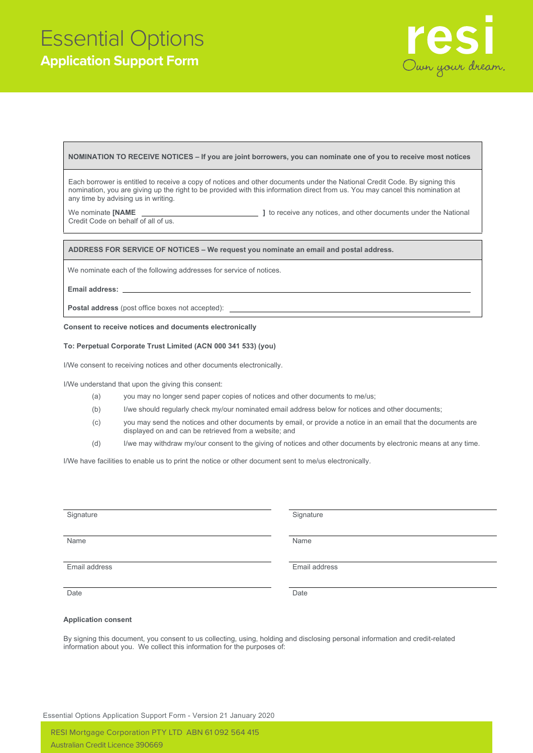

# **NOMINATION TO RECEIVE NOTICES – If you are joint borrowers, you can nominate one of you to receive most notices**

Each borrower is entitled to receive a copy of notices and other documents under the National Credit Code. By signing this nomination, you are giving up the right to be provided with this information direct from us. You may cancel this nomination at any time by advising us in writing.

We nominate **[NAME ] b** receive any notices, and other documents under the National Credit Code on behalf of all of us.

#### **ADDRESS FOR SERVICE OF NOTICES – We request you nominate an email and postal address.**

We nominate each of the following addresses for service of notices.

**Email address:**

**Postal address** (post office boxes not accepted):

## **Consent to receive notices and documents electronically**

## **To: Perpetual Corporate Trust Limited (ACN 000 341 533) (you)**

I/We consent to receiving notices and other documents electronically.

I/We understand that upon the giving this consent:

- (a) you may no longer send paper copies of notices and other documents to me/us;
- (b) I/we should regularly check my/our nominated email address below for notices and other documents;
- (c) you may send the notices and other documents by email, or provide a notice in an email that the documents are displayed on and can be retrieved from a website; and
- (d) I/we may withdraw my/our consent to the giving of notices and other documents by electronic means at any time.

I/We have facilities to enable us to print the notice or other document sent to me/us electronically.

| Signature     | Signature     |
|---------------|---------------|
|               |               |
| Name          | Name          |
|               |               |
| Email address | Email address |
|               |               |
| Date          | Date          |
|               |               |
|               |               |

# **Application consent**

By signing this document, you consent to us collecting, using, holding and disclosing personal information and credit-related information about you. We collect this information for the purposes of:

Essential Options Application Support Form - Version 21 January 2020